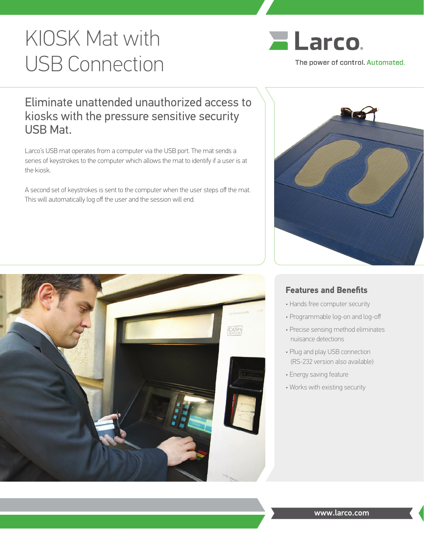# KIOSK Mat with USB Connection



## Eliminate unattended unauthorized access to kiosks with the pressure sensitive security USB Mat.

Larco's USB mat operates from a computer via the USB port. The mat sends a series of keystrokes to the computer which allows the mat to identify if a user is at the kiosk.

A second set of keystrokes is sent to the computer when the user steps off the mat. This will automatically log off the user and the session will end.





## **Features and Benefits**

- Hands free computer security
- Programmable log-on and log-off
- Precise sensing method eliminates nuisance detections
- Plug and play USB connection (RS-232 version also available)
- Energy saving feature
- Works with existing security